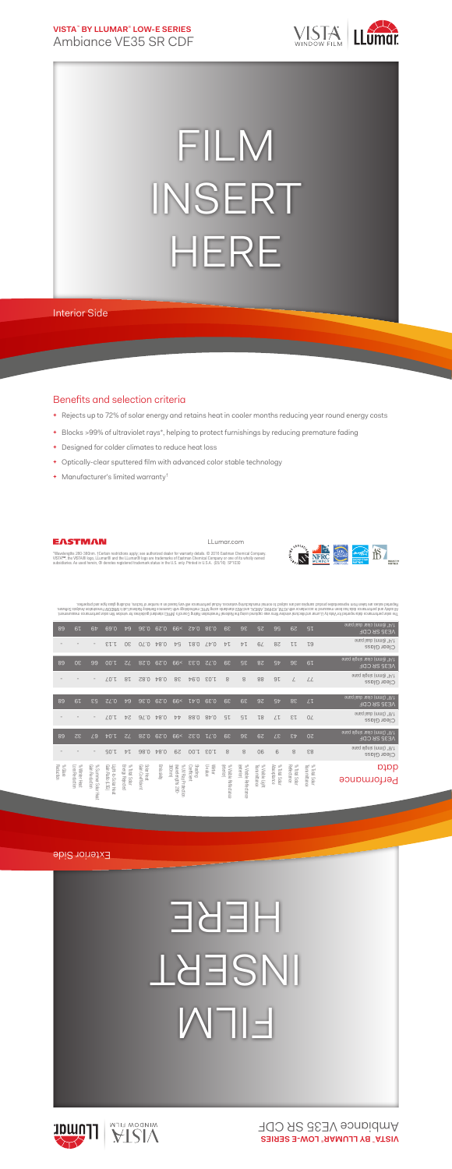**VISTA**™  **BY LLUMAR**®  **LOW-E SERIES** Ambiance VE35 SR CDF



## FILM INSERT HERE

Interior Side

## Benefits and selection criteria

**+** Rejects up to 72% of solar energy and retains heat in cooler months reducing year round energy costs

LLumar.com

- **+** Blocks >99% of ultraviolet rays\*, helping to protect furnishings by reducing premature fading
- **+** Designed for colder climates to reduce heat loss
- **+** Optically-clear sputtered film with advanced color stable technology
- **+** Manufacturer's limited warranty†



EASTMAN

"Wavelengths 280-380nm. †Certain restrictions apply; see authorized dealer for warranty details. © 2016 Eastman Chemical Company.<br>VISTA™, the VISTA® logo, LLumar® and the LLumar® logo are trademarks of Eastman Chemical Com